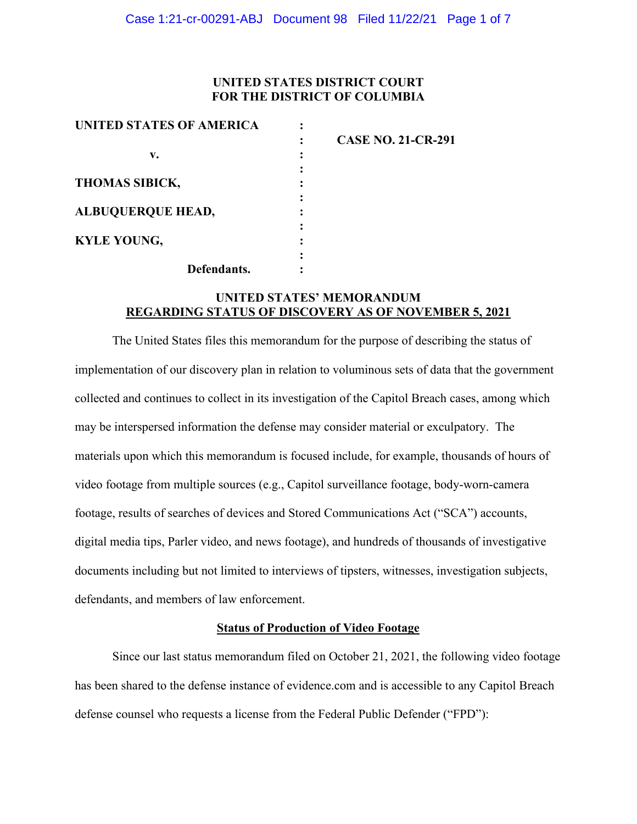## **UNITED STATES DISTRICT COURT FOR THE DISTRICT OF COLUMBIA**

| UNITED STATES OF AMERICA                                |                           |
|---------------------------------------------------------|---------------------------|
|                                                         | <b>CASE NO. 21-CR-291</b> |
| v.<br><b>THOMAS SIBICK,</b><br><b>ALBUQUERQUE HEAD,</b> |                           |
|                                                         |                           |
|                                                         |                           |
|                                                         |                           |
|                                                         |                           |
| <b>KYLE YOUNG,</b>                                      |                           |
|                                                         |                           |
| Defendants.                                             |                           |

## **UNITED STATES' MEMORANDUM REGARDING STATUS OF DISCOVERY AS OF NOVEMBER 5, 2021**

The United States files this memorandum for the purpose of describing the status of implementation of our discovery plan in relation to voluminous sets of data that the government collected and continues to collect in its investigation of the Capitol Breach cases, among which may be interspersed information the defense may consider material or exculpatory. The materials upon which this memorandum is focused include, for example, thousands of hours of video footage from multiple sources (e.g., Capitol surveillance footage, body-worn-camera footage, results of searches of devices and Stored Communications Act ("SCA") accounts, digital media tips, Parler video, and news footage), and hundreds of thousands of investigative documents including but not limited to interviews of tipsters, witnesses, investigation subjects, defendants, and members of law enforcement.

### **Status of Production of Video Footage**

Since our last status memorandum filed on October 21, 2021, the following video footage has been shared to the defense instance of evidence.com and is accessible to any Capitol Breach defense counsel who requests a license from the Federal Public Defender ("FPD"):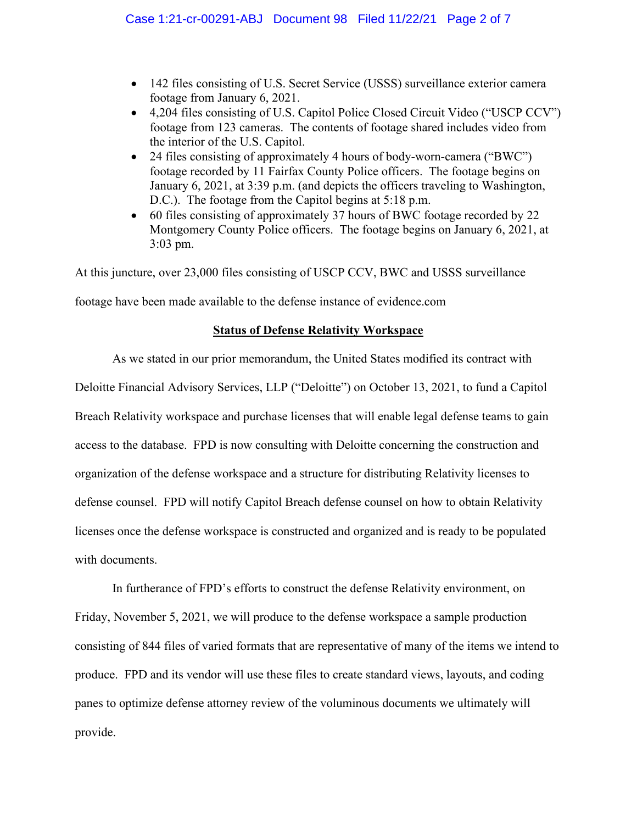- 142 files consisting of U.S. Secret Service (USSS) surveillance exterior camera footage from January 6, 2021.
- 4,204 files consisting of U.S. Capitol Police Closed Circuit Video ("USCP CCV") footage from 123 cameras. The contents of footage shared includes video from the interior of the U.S. Capitol.
- 24 files consisting of approximately 4 hours of body-worn-camera ("BWC") footage recorded by 11 Fairfax County Police officers. The footage begins on January 6, 2021, at 3:39 p.m. (and depicts the officers traveling to Washington, D.C.). The footage from the Capitol begins at 5:18 p.m.
- 60 files consisting of approximately 37 hours of BWC footage recorded by 22 Montgomery County Police officers. The footage begins on January 6, 2021, at 3:03 pm.

At this juncture, over 23,000 files consisting of USCP CCV, BWC and USSS surveillance

footage have been made available to the defense instance of evidence.com

## **Status of Defense Relativity Workspace**

As we stated in our prior memorandum, the United States modified its contract with Deloitte Financial Advisory Services, LLP ("Deloitte") on October 13, 2021, to fund a Capitol Breach Relativity workspace and purchase licenses that will enable legal defense teams to gain access to the database. FPD is now consulting with Deloitte concerning the construction and organization of the defense workspace and a structure for distributing Relativity licenses to defense counsel. FPD will notify Capitol Breach defense counsel on how to obtain Relativity licenses once the defense workspace is constructed and organized and is ready to be populated with documents.

In furtherance of FPD's efforts to construct the defense Relativity environment, on Friday, November 5, 2021, we will produce to the defense workspace a sample production consisting of 844 files of varied formats that are representative of many of the items we intend to produce. FPD and its vendor will use these files to create standard views, layouts, and coding panes to optimize defense attorney review of the voluminous documents we ultimately will provide.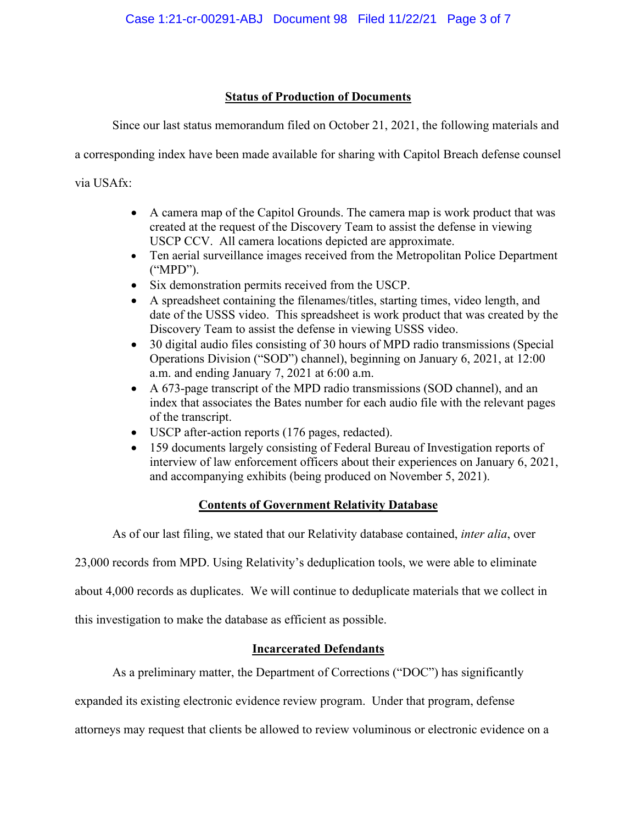## **Status of Production of Documents**

Since our last status memorandum filed on October 21, 2021, the following materials and

a corresponding index have been made available for sharing with Capitol Breach defense counsel

via USAfx:

- A camera map of the Capitol Grounds. The camera map is work product that was created at the request of the Discovery Team to assist the defense in viewing USCP CCV. All camera locations depicted are approximate.
- Ten aerial surveillance images received from the Metropolitan Police Department ("MPD").
- Six demonstration permits received from the USCP.
- A spreadsheet containing the filenames/titles, starting times, video length, and date of the USSS video. This spreadsheet is work product that was created by the Discovery Team to assist the defense in viewing USSS video.
- 30 digital audio files consisting of 30 hours of MPD radio transmissions (Special Operations Division ("SOD") channel), beginning on January 6, 2021, at 12:00 a.m. and ending January 7, 2021 at 6:00 a.m.
- A 673-page transcript of the MPD radio transmissions (SOD channel), and an index that associates the Bates number for each audio file with the relevant pages of the transcript.
- USCP after-action reports (176 pages, redacted).
- 159 documents largely consisting of Federal Bureau of Investigation reports of interview of law enforcement officers about their experiences on January 6, 2021, and accompanying exhibits (being produced on November 5, 2021).

# **Contents of Government Relativity Database**

As of our last filing, we stated that our Relativity database contained, *inter alia*, over

23,000 records from MPD. Using Relativity's deduplication tools, we were able to eliminate

about 4,000 records as duplicates. We will continue to deduplicate materials that we collect in

this investigation to make the database as efficient as possible.

# **Incarcerated Defendants**

As a preliminary matter, the Department of Corrections ("DOC") has significantly

expanded its existing electronic evidence review program. Under that program, defense

attorneys may request that clients be allowed to review voluminous or electronic evidence on a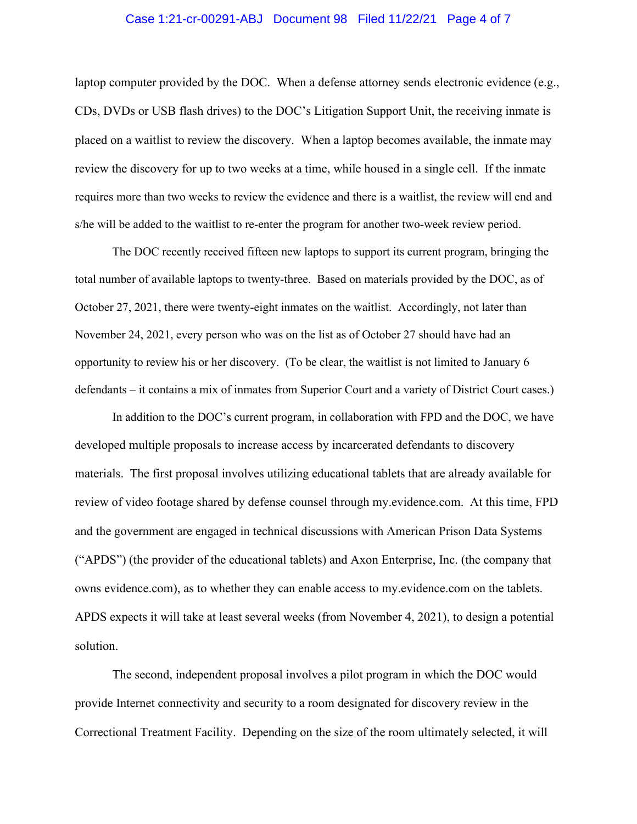#### Case 1:21-cr-00291-ABJ Document 98 Filed 11/22/21 Page 4 of 7

laptop computer provided by the DOC. When a defense attorney sends electronic evidence (e.g., CDs, DVDs or USB flash drives) to the DOC's Litigation Support Unit, the receiving inmate is placed on a waitlist to review the discovery. When a laptop becomes available, the inmate may review the discovery for up to two weeks at a time, while housed in a single cell. If the inmate requires more than two weeks to review the evidence and there is a waitlist, the review will end and s/he will be added to the waitlist to re-enter the program for another two-week review period.

The DOC recently received fifteen new laptops to support its current program, bringing the total number of available laptops to twenty-three. Based on materials provided by the DOC, as of October 27, 2021, there were twenty-eight inmates on the waitlist. Accordingly, not later than November 24, 2021, every person who was on the list as of October 27 should have had an opportunity to review his or her discovery. (To be clear, the waitlist is not limited to January 6 defendants – it contains a mix of inmates from Superior Court and a variety of District Court cases.)

In addition to the DOC's current program, in collaboration with FPD and the DOC, we have developed multiple proposals to increase access by incarcerated defendants to discovery materials. The first proposal involves utilizing educational tablets that are already available for review of video footage shared by defense counsel through my.evidence.com. At this time, FPD and the government are engaged in technical discussions with American Prison Data Systems ("APDS") (the provider of the educational tablets) and Axon Enterprise, Inc. (the company that owns evidence.com), as to whether they can enable access to my.evidence.com on the tablets. APDS expects it will take at least several weeks (from November 4, 2021), to design a potential solution.

The second, independent proposal involves a pilot program in which the DOC would provide Internet connectivity and security to a room designated for discovery review in the Correctional Treatment Facility. Depending on the size of the room ultimately selected, it will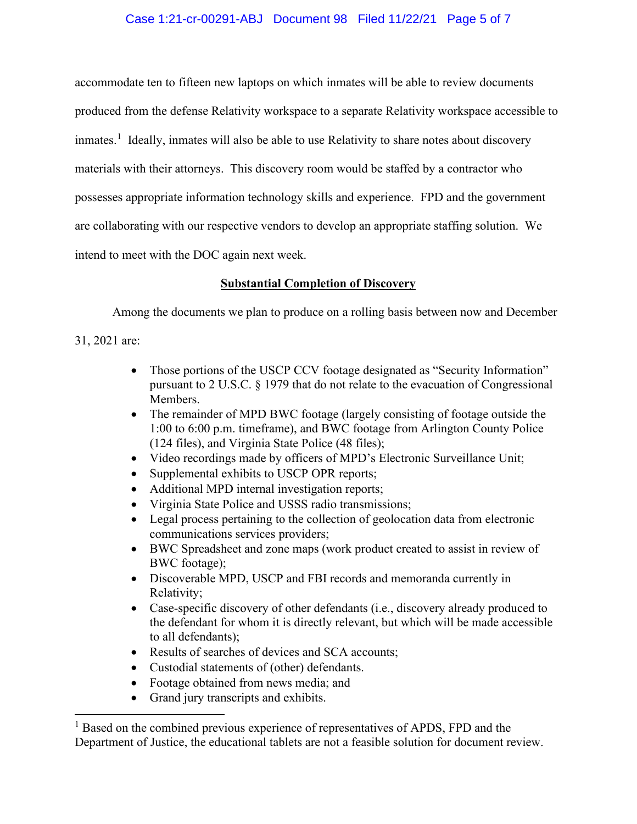## Case 1:21-cr-00291-ABJ Document 98 Filed 11/22/21 Page 5 of 7

accommodate ten to fifteen new laptops on which inmates will be able to review documents produced from the defense Relativity workspace to a separate Relativity workspace accessible to inmates.<sup>1</sup> Ideally, inmates will also be able to use Relativity to share notes about discovery materials with their attorneys. This discovery room would be staffed by a contractor who possesses appropriate information technology skills and experience. FPD and the government are collaborating with our respective vendors to develop an appropriate staffing solution. We intend to meet with the DOC again next week.

## **Substantial Completion of Discovery**

Among the documents we plan to produce on a rolling basis between now and December

31, 2021 are:

- Those portions of the USCP CCV footage designated as "Security Information" pursuant to 2 U.S.C. § 1979 that do not relate to the evacuation of Congressional Members.
- The remainder of MPD BWC footage (largely consisting of footage outside the 1:00 to 6:00 p.m. timeframe), and BWC footage from Arlington County Police (124 files), and Virginia State Police (48 files);
- Video recordings made by officers of MPD's Electronic Surveillance Unit;
- Supplemental exhibits to USCP OPR reports;
- Additional MPD internal investigation reports;
- Virginia State Police and USSS radio transmissions;
- Legal process pertaining to the collection of geolocation data from electronic communications services providers;
- BWC Spreadsheet and zone maps (work product created to assist in review of BWC footage);
- Discoverable MPD, USCP and FBI records and memoranda currently in Relativity;
- Case-specific discovery of other defendants (i.e., discovery already produced to the defendant for whom it is directly relevant, but which will be made accessible to all defendants);
- Results of searches of devices and SCA accounts;
- Custodial statements of (other) defendants.
- Footage obtained from news media; and
- Grand jury transcripts and exhibits.

<sup>&</sup>lt;sup>1</sup> Based on the combined previous experience of representatives of APDS, FPD and the Department of Justice, the educational tablets are not a feasible solution for document review.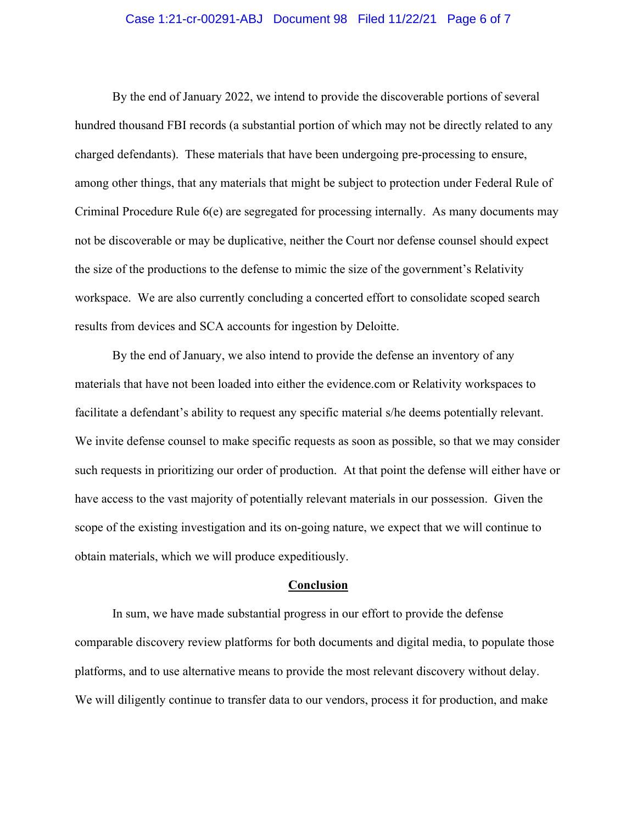### Case 1:21-cr-00291-ABJ Document 98 Filed 11/22/21 Page 6 of 7

By the end of January 2022, we intend to provide the discoverable portions of several hundred thousand FBI records (a substantial portion of which may not be directly related to any charged defendants). These materials that have been undergoing pre-processing to ensure, among other things, that any materials that might be subject to protection under Federal Rule of Criminal Procedure Rule 6(e) are segregated for processing internally. As many documents may not be discoverable or may be duplicative, neither the Court nor defense counsel should expect the size of the productions to the defense to mimic the size of the government's Relativity workspace. We are also currently concluding a concerted effort to consolidate scoped search results from devices and SCA accounts for ingestion by Deloitte.

By the end of January, we also intend to provide the defense an inventory of any materials that have not been loaded into either the evidence.com or Relativity workspaces to facilitate a defendant's ability to request any specific material s/he deems potentially relevant. We invite defense counsel to make specific requests as soon as possible, so that we may consider such requests in prioritizing our order of production. At that point the defense will either have or have access to the vast majority of potentially relevant materials in our possession. Given the scope of the existing investigation and its on-going nature, we expect that we will continue to obtain materials, which we will produce expeditiously.

#### **Conclusion**

In sum, we have made substantial progress in our effort to provide the defense comparable discovery review platforms for both documents and digital media, to populate those platforms, and to use alternative means to provide the most relevant discovery without delay. We will diligently continue to transfer data to our vendors, process it for production, and make